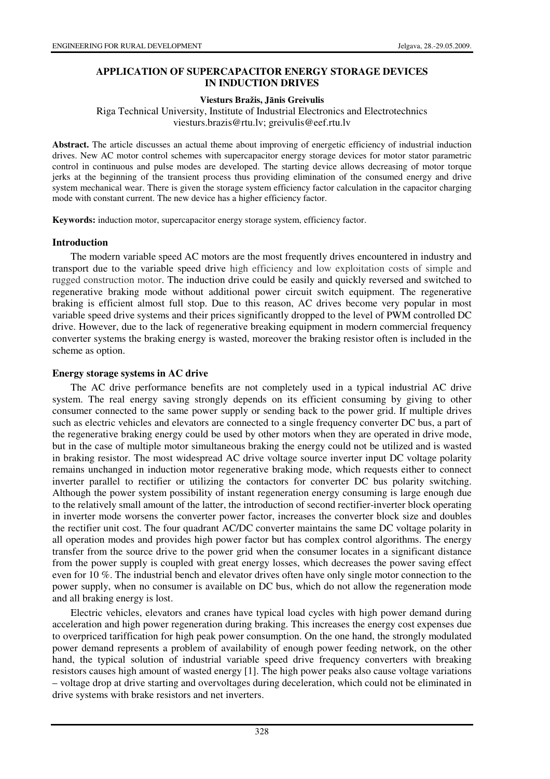# **APPLICATION OF SUPERCAPACITOR ENERGY STORAGE DEVICES IN INDUCTION DRIVES**

## **Viesturs Bražis, J**ā**nis Greivulis**

Riga Technical University, Institute of Industrial Electronics and Electrotechnics viesturs.brazis@rtu.lv; greivulis@eef.rtu.lv

**Abstract.** The article discusses an actual theme about improving of energetic efficiency of industrial induction drives. New AC motor control schemes with supercapacitor energy storage devices for motor stator parametric control in continuous and pulse modes are developed. The starting device allows decreasing of motor torque jerks at the beginning of the transient process thus providing elimination of the consumed energy and drive system mechanical wear. There is given the storage system efficiency factor calculation in the capacitor charging mode with constant current. The new device has a higher efficiency factor.

**Keywords:** induction motor, supercapacitor energy storage system, efficiency factor.

#### **Introduction**

The modern variable speed AC motors are the most frequently drives encountered in industry and transport due to the variable speed drive high efficiency and low exploitation costs of simple and rugged construction motor. The induction drive could be easily and quickly reversed and switched to regenerative braking mode without additional power circuit switch equipment. The regenerative braking is efficient almost full stop. Due to this reason, AC drives become very popular in most variable speed drive systems and their prices significantly dropped to the level of PWM controlled DC drive. However, due to the lack of regenerative breaking equipment in modern commercial frequency converter systems the braking energy is wasted, moreover the braking resistor often is included in the scheme as option.

#### **Energy storage systems in AC drive**

The AC drive performance benefits are not completely used in a typical industrial AC drive system. The real energy saving strongly depends on its efficient consuming by giving to other consumer connected to the same power supply or sending back to the power grid. If multiple drives such as electric vehicles and elevators are connected to a single frequency converter DC bus, a part of the regenerative braking energy could be used by other motors when they are operated in drive mode, but in the case of multiple motor simultaneous braking the energy could not be utilized and is wasted in braking resistor. The most widespread AC drive voltage source inverter input DC voltage polarity remains unchanged in induction motor regenerative braking mode, which requests either to connect inverter parallel to rectifier or utilizing the contactors for converter DC bus polarity switching. Although the power system possibility of instant regeneration energy consuming is large enough due to the relatively small amount of the latter, the introduction of second rectifier-inverter block operating in inverter mode worsens the converter power factor, increases the converter block size and doubles the rectifier unit cost. The four quadrant AC/DC converter maintains the same DC voltage polarity in all operation modes and provides high power factor but has complex control algorithms. The energy transfer from the source drive to the power grid when the consumer locates in a significant distance from the power supply is coupled with great energy losses, which decreases the power saving effect even for 10 %. The industrial bench and elevator drives often have only single motor connection to the power supply, when no consumer is available on DC bus, which do not allow the regeneration mode and all braking energy is lost.

Electric vehicles, elevators and cranes have typical load cycles with high power demand during acceleration and high power regeneration during braking. This increases the energy cost expenses due to overpriced tariffication for high peak power consumption. On the one hand, the strongly modulated power demand represents a problem of availability of enough power feeding network, on the other hand, the typical solution of industrial variable speed drive frequency converters with breaking resistors causes high amount of wasted energy [1]. The high power peaks also cause voltage variations – voltage drop at drive starting and overvoltages during deceleration, which could not be eliminated in drive systems with brake resistors and net inverters.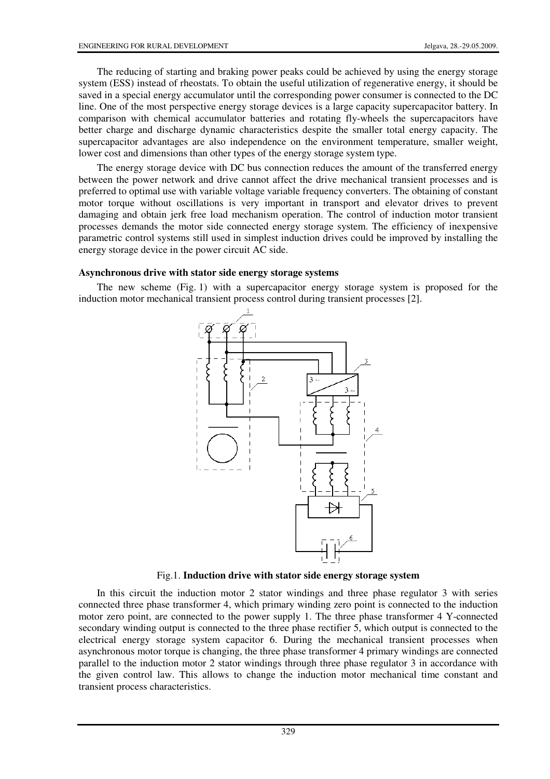The reducing of starting and braking power peaks could be achieved by using the energy storage system (ESS) instead of rheostats. To obtain the useful utilization of regenerative energy, it should be saved in a special energy accumulator until the corresponding power consumer is connected to the DC line. One of the most perspective energy storage devices is a large capacity supercapacitor battery. In comparison with chemical accumulator batteries and rotating fly-wheels the supercapacitors have better charge and discharge dynamic characteristics despite the smaller total energy capacity. The supercapacitor advantages are also independence on the environment temperature, smaller weight, lower cost and dimensions than other types of the energy storage system type.

The energy storage device with DC bus connection reduces the amount of the transferred energy between the power network and drive cannot affect the drive mechanical transient processes and is preferred to optimal use with variable voltage variable frequency converters. The obtaining of constant motor torque without oscillations is very important in transport and elevator drives to prevent damaging and obtain jerk free load mechanism operation. The control of induction motor transient processes demands the motor side connected energy storage system. The efficiency of inexpensive parametric control systems still used in simplest induction drives could be improved by installing the energy storage device in the power circuit AC side.

#### **Asynchronous drive with stator side energy storage systems**

The new scheme (Fig. 1) with a supercapacitor energy storage system is proposed for the induction motor mechanical transient process control during transient processes [2].



Fig.1. **Induction drive with stator side energy storage system**

In this circuit the induction motor 2 stator windings and three phase regulator 3 with series connected three phase transformer 4, which primary winding zero point is connected to the induction motor zero point, are connected to the power supply 1. The three phase transformer 4 Y-connected secondary winding output is connected to the three phase rectifier 5, which output is connected to the electrical energy storage system capacitor 6. During the mechanical transient processes when asynchronous motor torque is changing, the three phase transformer 4 primary windings are connected parallel to the induction motor 2 stator windings through three phase regulator 3 in accordance with the given control law. This allows to change the induction motor mechanical time constant and transient process characteristics.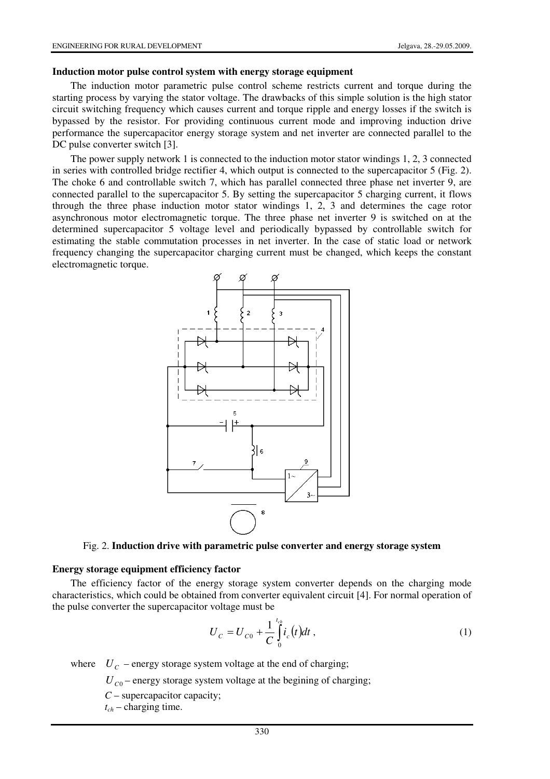#### **Induction motor pulse control system with energy storage equipment**

The induction motor parametric pulse control scheme restricts current and torque during the starting process by varying the stator voltage. The drawbacks of this simple solution is the high stator circuit switching frequency which causes current and torque ripple and energy losses if the switch is bypassed by the resistor. For providing continuous current mode and improving induction drive performance the supercapacitor energy storage system and net inverter are connected parallel to the DC pulse converter switch [3].

The power supply network 1 is connected to the induction motor stator windings 1, 2, 3 connected in series with controlled bridge rectifier 4, which output is connected to the supercapacitor 5 (Fig. 2). The choke 6 and controllable switch 7, which has parallel connected three phase net inverter 9, are connected parallel to the supercapacitor 5. By setting the supercapacitor 5 charging current, it flows through the three phase induction motor stator windings 1, 2, 3 and determines the cage rotor asynchronous motor electromagnetic torque. The three phase net inverter 9 is switched on at the determined supercapacitor 5 voltage level and periodically bypassed by controllable switch for estimating the stable commutation processes in net inverter. In the case of static load or network frequency changing the supercapacitor charging current must be changed, which keeps the constant electromagnetic torque.



### Fig. 2. **Induction drive with parametric pulse converter and energy storage system**

#### **Energy storage equipment efficiency factor**

The efficiency factor of the energy storage system converter depends on the charging mode characteristics, which could be obtained from converter equivalent circuit [4]. For normal operation of the pulse converter the supercapacitor voltage must be

$$
U_C = U_{C0} + \frac{1}{C} \int_0^{t_{ch}} i_c(t) dt , \qquad (1)
$$

where  $U_c$  – energy storage system voltage at the end of charging;

 $U_{C0}$  – energy storage system voltage at the begining of charging;

*C* – supercapacitor capacity;

*tch* – charging time.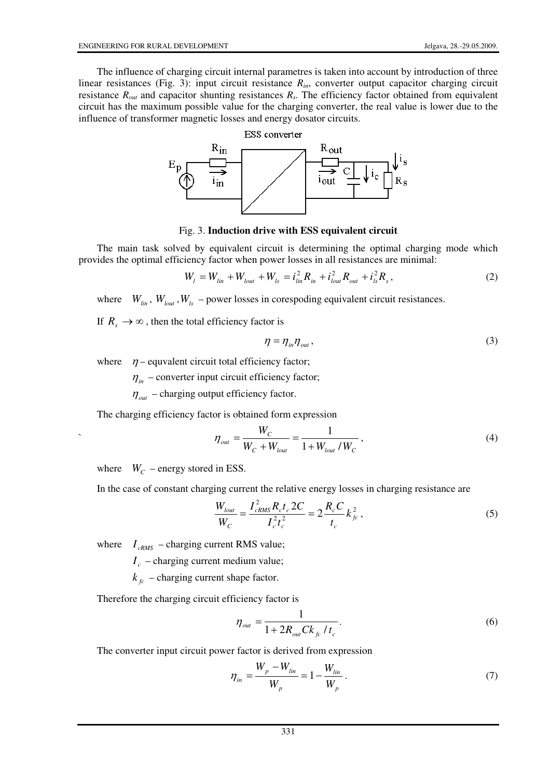The influence of charging circuit internal parametres is taken into account by introduction of three linear resistances (Fig. 3): input circuit resistance *Rin*, converter output capacitor charging circuit resistance *Rout* and capacitor shunting resistances *R<sup>s</sup>* . The efficiency factor obtained from equivalent circuit has the maximum possible value for the charging converter, the real value is lower due to the influence of transformer magnetic losses and energy dosator circuits.



### Fig. 3. **Induction drive with ESS equivalent circuit**

The main task solved by equivalent circuit is determining the optimal charging mode which provides the optimal efficiency factor when power losses in all resistances are minimal:

$$
W_{l} = W_{lin} + W_{lout} + W_{ls} = i_{lin}^{2} R_{in} + i_{lout}^{2} R_{out} + i_{ls}^{2} R_{s},
$$
\n(2)

where  $W_{lin}$ ,  $W_{lout}$ ,  $W_{ls}$  – power losses in corespoding equivalent circuit resistances.

If  $R \rightarrow \infty$ , then the total efficiency factor is

$$
\eta = \eta_{in} \eta_{out},\tag{3}
$$

where  $\eta$  – equvalent circuit total efficiency factor;

 $\eta_{in}$  – converter input circuit efficiency factor;

 $\eta_{out}$  – charging output efficiency factor.

The charging efficiency factor is obtained form expression

$$
\eta_{out} = \frac{W_C}{W_C + W_{lout}} = \frac{1}{1 + W_{lout} / W_C},
$$
\n(4)

where  $W_C$  – energy stored in ESS.

`

In the case of constant charging current the relative energy losses in charging resistance are

$$
\frac{W_{lout}}{W_C} = \frac{I_{cRMS}^2 R_c t_c 2C}{I_c^2 t_c^2} = 2 \frac{R_c C}{t_c} k_{fc}^2,
$$
\n(5)

where  $I_{cRMS}$  – charging current RMS value;

 $I_c$  – charging current medium value;

 $k_{fc}$  – charging current shape factor.

Therefore the charging circuit efficiency factor is

$$
\eta_{out} = \frac{1}{1 + 2R_{out}Ck_{fc} / t_c}.
$$
\n(6)

The converter input circuit power factor is derived from expression

$$
\eta_{in} = \frac{W_p - W_{lin}}{W_p} = 1 - \frac{W_{lin}}{W_p} \,. \tag{7}
$$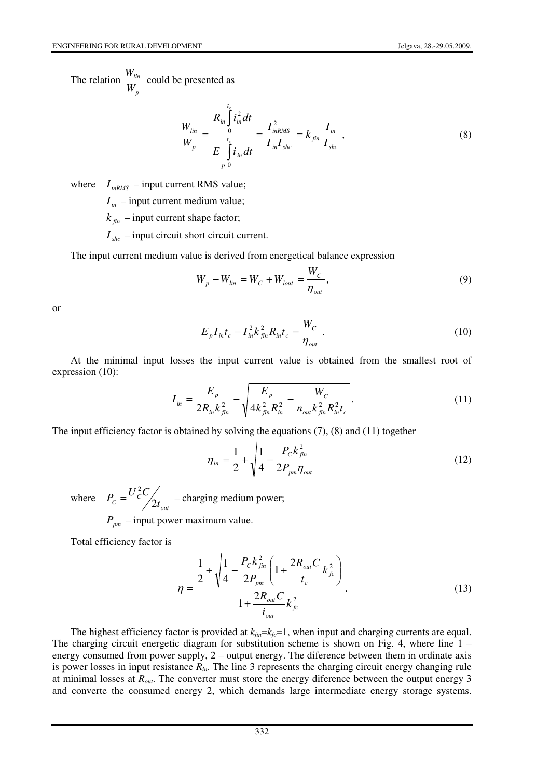The relation *p lin W*  $\frac{W_{lin}}{W}$  could be presented as

$$
\frac{W_{lin}}{W_p} = \frac{R_{in} \int_0^{t_c} i_{in}^2 dt}{E \int_0^{t_c} i_{in} dt} = \frac{I_{inRMS}^2}{I_{in} I_{shc}} = k_{fin} \frac{I_{in}}{I_{shc}},
$$
\n(8)

where  $I_{inRMS}$  – input current RMS value;

 $I_{in}$  – input current medium value;

 $k_{fin}$  – input current shape factor;

 $I_{she}$  – input circuit short circuit current.

The input current medium value is derived from energetical balance expression

$$
W_p - W_{lin} = W_C + W_{lout} = \frac{W_C}{\eta_{out}},
$$
\n(9)

or

$$
E_{p}I_{in}t_{c} - I_{in}^{2}k_{fin}^{2}R_{in}t_{c} = \frac{W_{C}}{\eta_{out}}.
$$
\n(10)

At the minimal input losses the input current value is obtained from the smallest root of expression (10):

$$
I_{in} = \frac{E_p}{2R_{in}k_{fin}^2} - \sqrt{\frac{E_p}{4k_{fin}^2 R_{in}^2} - \frac{W_C}{n_{out}k_{fin}^2 R_{in}^2 t_c}}.
$$
 (11)

The input efficiency factor is obtained by solving the equations (7), (8) and (11) together

$$
\eta_{in} = \frac{1}{2} + \sqrt{\frac{1}{4} - \frac{P_c k_{fin}^2}{2P_{pm} \eta_{out}}}
$$
(12)

where

*out*  $P_c = \frac{C}{2} \frac{C}{2t}$  $P_c = \frac{U_c^2 C}{2}$  $= U_c^2 C \begin{pmatrix} 1 & -\text{charging medium power}; \\ 1 & -\text{charging medium power}; \end{pmatrix}$ 

 $P_{\mu m}$  – input power maximum value.

Total efficiency factor is

$$
\eta = \frac{\frac{1}{2} + \sqrt{\frac{1}{4} - \frac{P_c k_{fin}^2}{2P_{pm}} \left(1 + \frac{2R_{out}C}{t_c}k_{fc}^2\right)}}{1 + \frac{2R_{out}C}{i_{out}}k_{fc}^2}.
$$
(13)

The highest efficiency factor is provided at  $k_{fin} = k_f = 1$ , when input and charging currents are equal. The charging circuit energetic diagram for substitution scheme is shown on Fig. 4, where line  $1$ energy consumed from power supply, 2 – output energy. The diference between them in ordinate axis is power losses in input resistance *Rin*. The line 3 represents the charging circuit energy changing rule at minimal losses at *Rout*. The converter must store the energy diference between the output energy 3 and converte the consumed energy 2, which demands large intermediate energy storage systems.